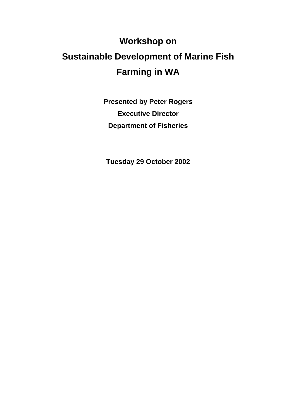# **Workshop on Sustainable Development of Marine Fish Farming in WA**

**Presented by Peter Rogers Executive Director Department of Fisheries** 

**Tuesday 29 October 2002**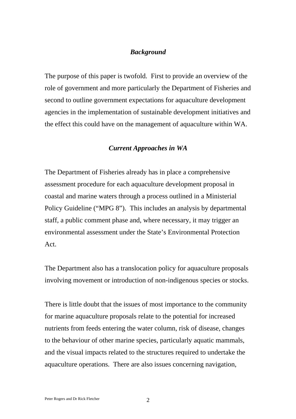## *Background*

The purpose of this paper is twofold. First to provide an overview of the role of government and more particularly the Department of Fisheries and second to outline government expectations for aquaculture development agencies in the implementation of sustainable development initiatives and the effect this could have on the management of aquaculture within WA.

#### *Current Approaches in WA*

The Department of Fisheries already has in place a comprehensive assessment procedure for each aquaculture development proposal in coastal and marine waters through a process outlined in a Ministerial Policy Guideline ("MPG 8"). This includes an analysis by departmental staff, a public comment phase and, where necessary, it may trigger an environmental assessment under the State's Environmental Protection Act.

The Department also has a translocation policy for aquaculture proposals involving movement or introduction of non-indigenous species or stocks.

There is little doubt that the issues of most importance to the community for marine aquaculture proposals relate to the potential for increased nutrients from feeds entering the water column, risk of disease, changes to the behaviour of other marine species, particularly aquatic mammals, and the visual impacts related to the structures required to undertake the aquaculture operations. There are also issues concerning navigation,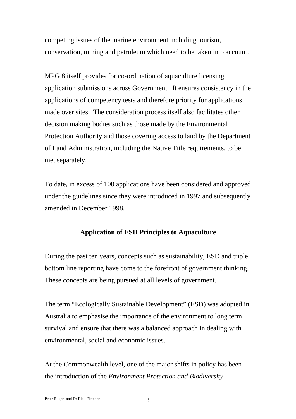competing issues of the marine environment including tourism, conservation, mining and petroleum which need to be taken into account.

MPG 8 itself provides for co-ordination of aquaculture licensing application submissions across Government. It ensures consistency in the applications of competency tests and therefore priority for applications made over sites. The consideration process itself also facilitates other decision making bodies such as those made by the Environmental Protection Authority and those covering access to land by the Department of Land Administration, including the Native Title requirements, to be met separately.

To date, in excess of 100 applications have been considered and approved under the guidelines since they were introduced in 1997 and subsequently amended in December 1998.

## **Application of ESD Principles to Aquaculture**

During the past ten years, concepts such as sustainability, ESD and triple bottom line reporting have come to the forefront of government thinking. These concepts are being pursued at all levels of government.

The term "Ecologically Sustainable Development" (ESD) was adopted in Australia to emphasise the importance of the environment to long term survival and ensure that there was a balanced approach in dealing with environmental, social and economic issues.

At the Commonwealth level, one of the major shifts in policy has been the introduction of the *Environment Protection and Biodiversity*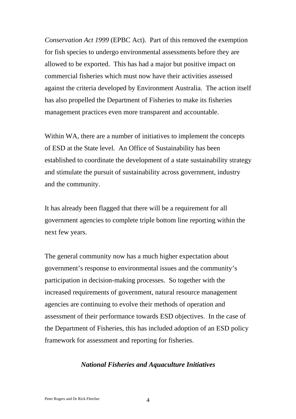*Conservation Act 1999* (EPBC Act). Part of this removed the exemption for fish species to undergo environmental assessments before they are allowed to be exported. This has had a major but positive impact on commercial fisheries which must now have their activities assessed against the criteria developed by Environment Australia. The action itself has also propelled the Department of Fisheries to make its fisheries management practices even more transparent and accountable.

Within WA, there are a number of initiatives to implement the concepts of ESD at the State level. An Office of Sustainability has been established to coordinate the development of a state sustainability strategy and stimulate the pursuit of sustainability across government, industry and the community.

It has already been flagged that there will be a requirement for all government agencies to complete triple bottom line reporting within the next few years.

The general community now has a much higher expectation about government's response to environmental issues and the community's participation in decision-making processes. So together with the increased requirements of government, natural resource management agencies are continuing to evolve their methods of operation and assessment of their performance towards ESD objectives. In the case of the Department of Fisheries, this has included adoption of an ESD policy framework for assessment and reporting for fisheries.

### *National Fisheries and Aquaculture Initiatives*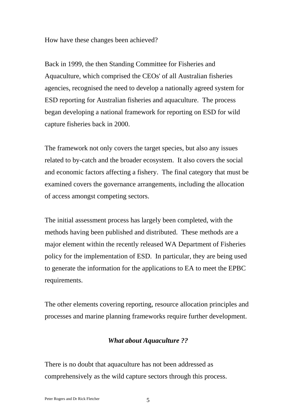How have these changes been achieved?

Back in 1999, the then Standing Committee for Fisheries and Aquaculture, which comprised the CEOs' of all Australian fisheries agencies, recognised the need to develop a nationally agreed system for ESD reporting for Australian fisheries and aquaculture. The process began developing a national framework for reporting on ESD for wild capture fisheries back in 2000.

The framework not only covers the target species, but also any issues related to by-catch and the broader ecosystem. It also covers the social and economic factors affecting a fishery. The final category that must be examined covers the governance arrangements, including the allocation of access amongst competing sectors.

The initial assessment process has largely been completed, with the methods having been published and distributed. These methods are a major element within the recently released WA Department of Fisheries policy for the implementation of ESD. In particular, they are being used to generate the information for the applications to EA to meet the EPBC requirements.

The other elements covering reporting, resource allocation principles and processes and marine planning frameworks require further development.

## *What about Aquaculture ??*

There is no doubt that aquaculture has not been addressed as comprehensively as the wild capture sectors through this process.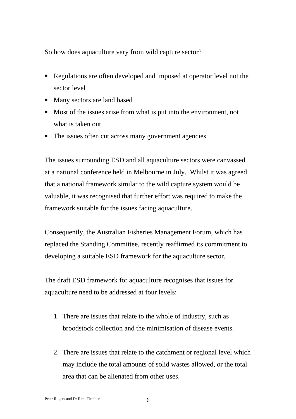So how does aquaculture vary from wild capture sector?

- Regulations are often developed and imposed at operator level not the sector level
- Many sectors are land based
- Most of the issues arise from what is put into the environment, not what is taken out
- The issues often cut across many government agencies

The issues surrounding ESD and all aquaculture sectors were canvassed at a national conference held in Melbourne in July. Whilst it was agreed that a national framework similar to the wild capture system would be valuable, it was recognised that further effort was required to make the framework suitable for the issues facing aquaculture.

Consequently, the Australian Fisheries Management Forum, which has replaced the Standing Committee, recently reaffirmed its commitment to developing a suitable ESD framework for the aquaculture sector.

The draft ESD framework for aquaculture recognises that issues for aquaculture need to be addressed at four levels:

- 1. There are issues that relate to the whole of industry, such as broodstock collection and the minimisation of disease events.
- 2. There are issues that relate to the catchment or regional level which may include the total amounts of solid wastes allowed, or the total area that can be alienated from other uses.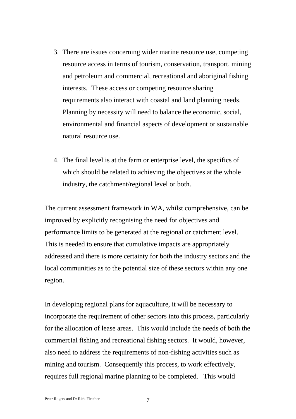- 3. There are issues concerning wider marine resource use, competing resource access in terms of tourism, conservation, transport, mining and petroleum and commercial, recreational and aboriginal fishing interests. These access or competing resource sharing requirements also interact with coastal and land planning needs. Planning by necessity will need to balance the economic, social, environmental and financial aspects of development or sustainable natural resource use.
- 4. The final level is at the farm or enterprise level, the specifics of which should be related to achieving the objectives at the whole industry, the catchment/regional level or both.

The current assessment framework in WA, whilst comprehensive, can be improved by explicitly recognising the need for objectives and performance limits to be generated at the regional or catchment level. This is needed to ensure that cumulative impacts are appropriately addressed and there is more certainty for both the industry sectors and the local communities as to the potential size of these sectors within any one region.

In developing regional plans for aquaculture, it will be necessary to incorporate the requirement of other sectors into this process, particularly for the allocation of lease areas. This would include the needs of both the commercial fishing and recreational fishing sectors. It would, however, also need to address the requirements of non-fishing activities such as mining and tourism. Consequently this process, to work effectively, requires full regional marine planning to be completed. This would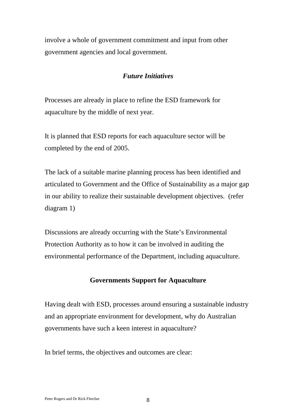involve a whole of government commitment and input from other government agencies and local government.

## *Future Initiatives*

Processes are already in place to refine the ESD framework for aquaculture by the middle of next year.

It is planned that ESD reports for each aquaculture sector will be completed by the end of 2005.

The lack of a suitable marine planning process has been identified and articulated to Government and the Office of Sustainability as a major gap in our ability to realize their sustainable development objectives. (refer diagram 1)

Discussions are already occurring with the State's Environmental Protection Authority as to how it can be involved in auditing the environmental performance of the Department, including aquaculture.

### **Governments Support for Aquaculture**

Having dealt with ESD, processes around ensuring a sustainable industry and an appropriate environment for development, why do Australian governments have such a keen interest in aquaculture?

In brief terms, the objectives and outcomes are clear: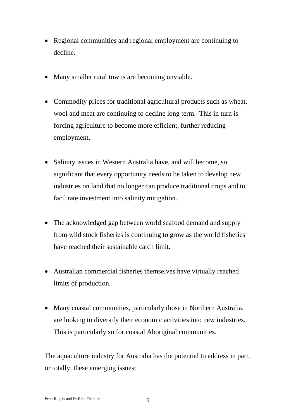- Regional communities and regional employment are continuing to decline.
- Many smaller rural towns are becoming unviable.
- Commodity prices for traditional agricultural products such as wheat, wool and meat are continuing to decline long term. This in turn is forcing agriculture to become more efficient, further reducing employment.
- Salinity issues in Western Australia have, and will become, so significant that every opportunity needs to be taken to develop new industries on land that no longer can produce traditional crops and to facilitate investment into salinity mitigation.
- The acknowledged gap between world seafood demand and supply from wild stock fisheries is continuing to grow as the world fisheries have reached their sustainable catch limit.
- Australian commercial fisheries themselves have virtually reached limits of production.
- Many coastal communities, particularly those in Northern Australia, are looking to diversify their economic activities into new industries. This is particularly so for coastal Aboriginal communities.

The aquaculture industry for Australia has the potential to address in part, or totally, these emerging issues: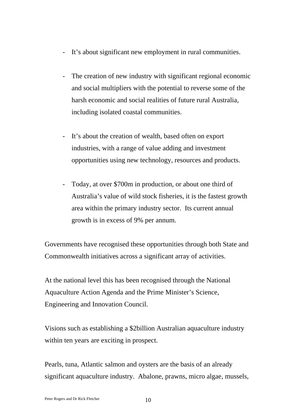- It's about significant new employment in rural communities.
- The creation of new industry with significant regional economic and social multipliers with the potential to reverse some of the harsh economic and social realities of future rural Australia, including isolated coastal communities.
- It's about the creation of wealth, based often on export industries, with a range of value adding and investment opportunities using new technology, resources and products.
- Today, at over \$700m in production, or about one third of Australia's value of wild stock fisheries, it is the fastest growth area within the primary industry sector. Its current annual growth is in excess of 9% per annum.

Governments have recognised these opportunities through both State and Commonwealth initiatives across a significant array of activities.

At the national level this has been recognised through the National Aquaculture Action Agenda and the Prime Minister's Science, Engineering and Innovation Council.

Visions such as establishing a \$2billion Australian aquaculture industry within ten years are exciting in prospect.

Pearls, tuna, Atlantic salmon and oysters are the basis of an already significant aquaculture industry. Abalone, prawns, micro algae, mussels,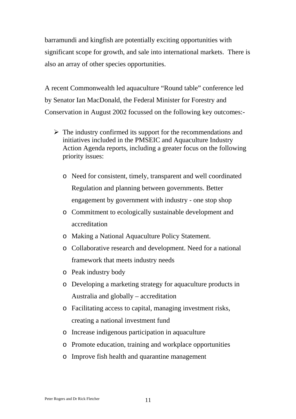barramundi and kingfish are potentially exciting opportunities with significant scope for growth, and sale into international markets. There is also an array of other species opportunities.

A recent Commonwealth led aquaculture "Round table" conference led by Senator Ian MacDonald, the Federal Minister for Forestry and Conservation in August 2002 focussed on the following key outcomes:-

- $\triangleright$  The industry confirmed its support for the recommendations and initiatives included in the PMSEIC and Aquaculture Industry Action Agenda reports, including a greater focus on the following priority issues:
	- o Need for consistent, timely, transparent and well coordinated Regulation and planning between governments. Better engagement by government with industry - one stop shop
	- o Commitment to ecologically sustainable development and accreditation
	- o Making a National Aquaculture Policy Statement.
	- o Collaborative research and development. Need for a national framework that meets industry needs
	- o Peak industry body
	- o Developing a marketing strategy for aquaculture products in Australia and globally – accreditation
	- o Facilitating access to capital, managing investment risks, creating a national investment fund
	- o Increase indigenous participation in aquaculture
	- o Promote education, training and workplace opportunities
	- o Improve fish health and quarantine management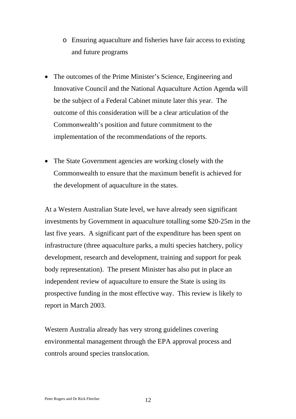- o Ensuring aquaculture and fisheries have fair access to existing and future programs
- The outcomes of the Prime Minister's Science, Engineering and Innovative Council and the National Aquaculture Action Agenda will be the subject of a Federal Cabinet minute later this year. The outcome of this consideration will be a clear articulation of the Commonwealth's position and future commitment to the implementation of the recommendations of the reports.
- The State Government agencies are working closely with the Commonwealth to ensure that the maximum benefit is achieved for the development of aquaculture in the states.

At a Western Australian State level, we have already seen significant investments by Government in aquaculture totalling some \$20-25m in the last five years. A significant part of the expenditure has been spent on infrastructure (three aquaculture parks, a multi species hatchery, policy development, research and development, training and support for peak body representation). The present Minister has also put in place an independent review of aquaculture to ensure the State is using its prospective funding in the most effective way. This review is likely to report in March 2003.

Western Australia already has very strong guidelines covering environmental management through the EPA approval process and controls around species translocation.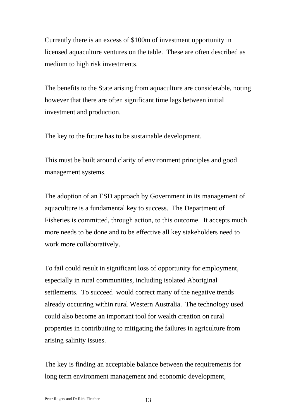Currently there is an excess of \$100m of investment opportunity in licensed aquaculture ventures on the table. These are often described as medium to high risk investments.

The benefits to the State arising from aquaculture are considerable, noting however that there are often significant time lags between initial investment and production.

The key to the future has to be sustainable development.

This must be built around clarity of environment principles and good management systems.

The adoption of an ESD approach by Government in its management of aquaculture is a fundamental key to success. The Department of Fisheries is committed, through action, to this outcome. It accepts much more needs to be done and to be effective all key stakeholders need to work more collaboratively.

To fail could result in significant loss of opportunity for employment, especially in rural communities, including isolated Aboriginal settlements. To succeed would correct many of the negative trends already occurring within rural Western Australia. The technology used could also become an important tool for wealth creation on rural properties in contributing to mitigating the failures in agriculture from arising salinity issues.

The key is finding an acceptable balance between the requirements for long term environment management and economic development,